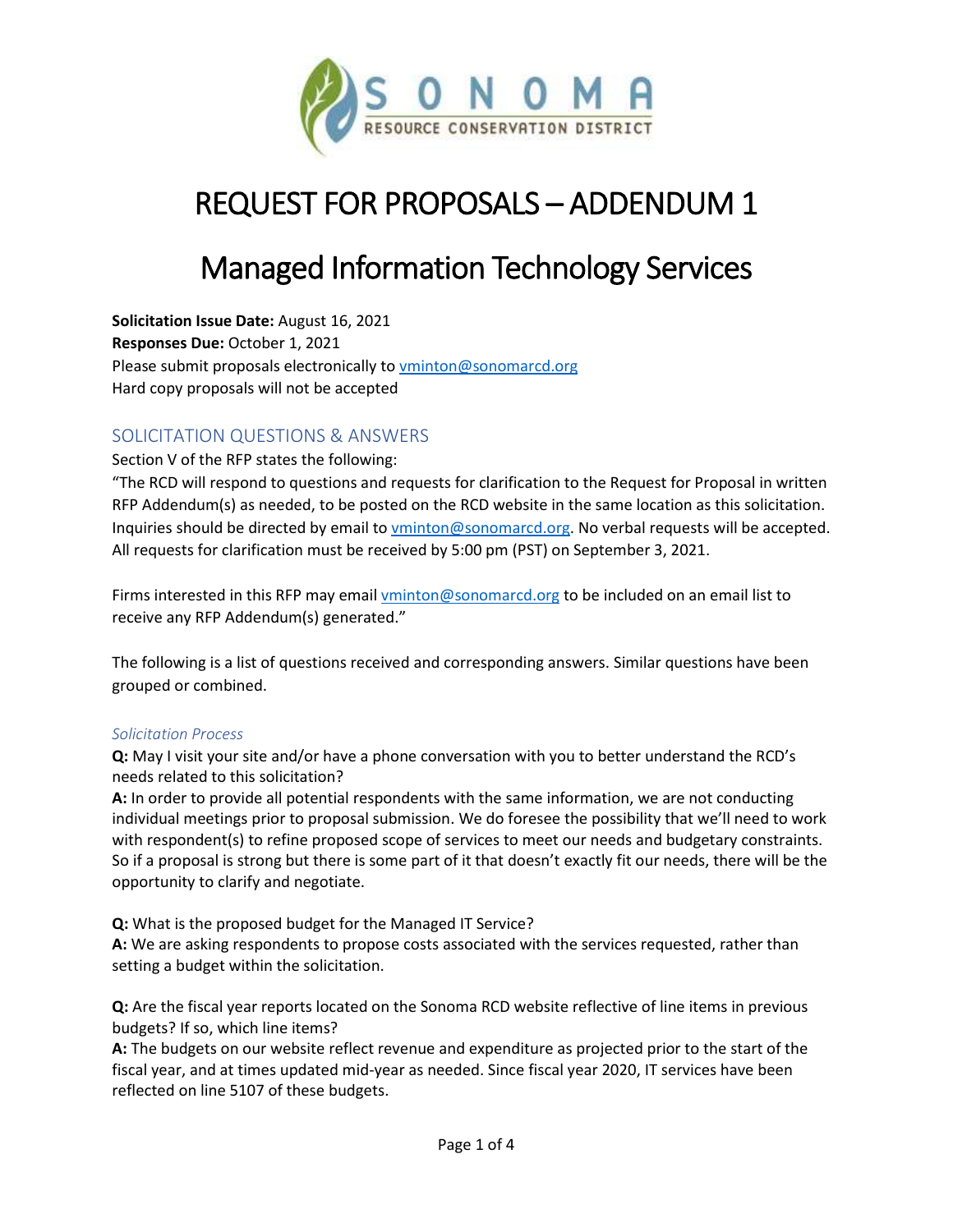

# REQUEST FOR PROPOSALS – ADDENDUM 1

## Managed Information Technology Services

**Solicitation Issue Date:** August 16, 2021 **Responses Due:** October 1, 2021 Please submit proposals electronically t[o vminton@sonomarcd.org](mailto:vminton@sonomarcd.org) Hard copy proposals will not be accepted

## SOLICITATION QUESTIONS & ANSWERS

## Section V of the RFP states the following:

"The RCD will respond to questions and requests for clarification to the Request for Proposal in written RFP Addendum(s) as needed, to be posted on the RCD website in the same location as this solicitation. Inquiries should be directed by email t[o vminton@sonomarcd.org.](mailto:vminton@sonomarcd.org) No verbal requests will be accepted. All requests for clarification must be received by 5:00 pm (PST) on September 3, 2021.

Firms interested in this RFP may email [vminton@sonomarcd.org](mailto:vminton@sonomarcd.org) to be included on an email list to receive any RFP Addendum(s) generated."

The following is a list of questions received and corresponding answers. Similar questions have been grouped or combined.

#### *Solicitation Process*

**Q:** May I visit your site and/or have a phone conversation with you to better understand the RCD's needs related to this solicitation?

**A:** In order to provide all potential respondents with the same information, we are not conducting individual meetings prior to proposal submission. We do foresee the possibility that we'll need to work with respondent(s) to refine proposed scope of services to meet our needs and budgetary constraints. So if a proposal is strong but there is some part of it that doesn't exactly fit our needs, there will be the opportunity to clarify and negotiate.

**Q:** What is the proposed budget for the Managed IT Service?

**A:** We are asking respondents to propose costs associated with the services requested, rather than setting a budget within the solicitation.

**Q:** Are the fiscal year reports located on the Sonoma RCD website reflective of line items in previous budgets? If so, which line items?

**A:** The budgets on our website reflect revenue and expenditure as projected prior to the start of the fiscal year, and at times updated mid-year as needed. Since fiscal year 2020, IT services have been reflected on line 5107 of these budgets.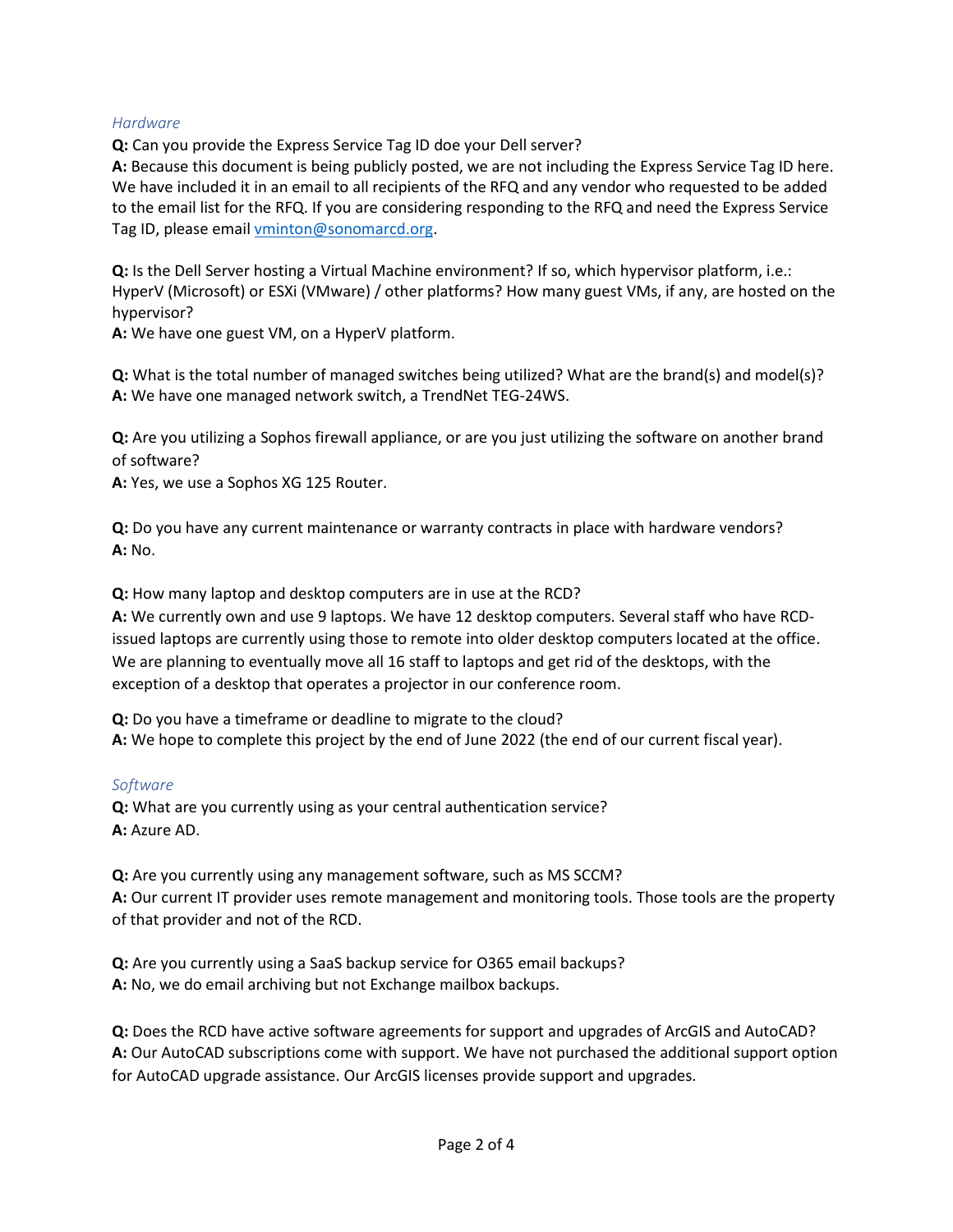#### *Hardware*

**Q:** Can you provide the Express Service Tag ID doe your Dell server?

**A:** Because this document is being publicly posted, we are not including the Express Service Tag ID here. We have included it in an email to all recipients of the RFQ and any vendor who requested to be added to the email list for the RFQ. If you are considering responding to the RFQ and need the Express Service Tag ID, please emai[l vminton@sonomarcd.org.](mailto:vminton@sonomarcd.org)

**Q:** Is the Dell Server hosting a Virtual Machine environment? If so, which hypervisor platform, i.e.: HyperV (Microsoft) or ESXi (VMware) / other platforms? How many guest VMs, if any, are hosted on the hypervisor?

**A:** We have one guest VM, on a HyperV platform.

**Q:** What is the total number of managed switches being utilized? What are the brand(s) and model(s)? **A:** We have one managed network switch, a TrendNet TEG-24WS.

**Q:** Are you utilizing a Sophos firewall appliance, or are you just utilizing the software on another brand of software?

**A:** Yes, we use a Sophos XG 125 Router.

**Q:** Do you have any current maintenance or warranty contracts in place with hardware vendors? **A:** No.

**Q:** How many laptop and desktop computers are in use at the RCD?

**A:** We currently own and use 9 laptops. We have 12 desktop computers. Several staff who have RCDissued laptops are currently using those to remote into older desktop computers located at the office. We are planning to eventually move all 16 staff to laptops and get rid of the desktops, with the exception of a desktop that operates a projector in our conference room.

**Q:** Do you have a timeframe or deadline to migrate to the cloud? **A:** We hope to complete this project by the end of June 2022 (the end of our current fiscal year).

#### *Software*

**Q:** What are you currently using as your central authentication service? **A:** Azure AD.

**Q:** Are you currently using any management software, such as MS SCCM? **A:** Our current IT provider uses remote management and monitoring tools. Those tools are the property of that provider and not of the RCD.

**Q:** Are you currently using a SaaS backup service for O365 email backups? **A:** No, we do email archiving but not Exchange mailbox backups.

**Q:** Does the RCD have active software agreements for support and upgrades of ArcGIS and AutoCAD? **A:** Our AutoCAD subscriptions come with support. We have not purchased the additional support option for AutoCAD upgrade assistance. Our ArcGIS licenses provide support and upgrades.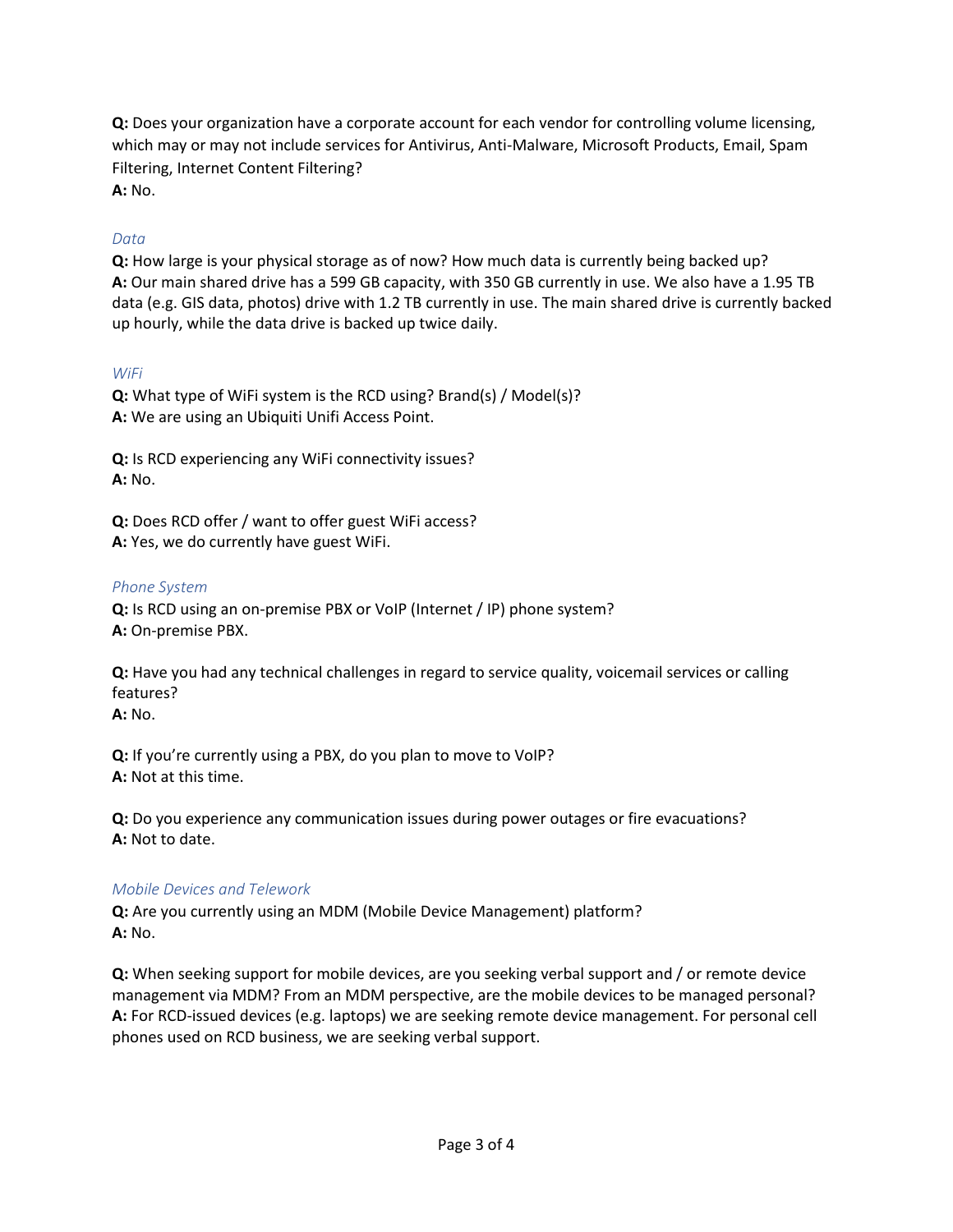**Q:** Does your organization have a corporate account for each vendor for controlling volume licensing, which may or may not include services for Antivirus, Anti-Malware, Microsoft Products, Email, Spam Filtering, Internet Content Filtering?

**A:** No.

## *Data*

**Q:** How large is your physical storage as of now? How much data is currently being backed up? **A:** Our main shared drive has a 599 GB capacity, with 350 GB currently in use. We also have a 1.95 TB data (e.g. GIS data, photos) drive with 1.2 TB currently in use. The main shared drive is currently backed up hourly, while the data drive is backed up twice daily.

## *WiFi*

**Q:** What type of WiFi system is the RCD using? Brand(s) / Model(s)? **A:** We are using an Ubiquiti Unifi Access Point.

**Q:** Is RCD experiencing any WiFi connectivity issues? **A:** No.

**Q:** Does RCD offer / want to offer guest WiFi access? **A:** Yes, we do currently have guest WiFi.

## *Phone System*

**Q:** Is RCD using an on-premise PBX or VoIP (Internet / IP) phone system? **A:** On-premise PBX.

**Q:** Have you had any technical challenges in regard to service quality, voicemail services or calling features?

**A:** No.

**Q:** If you're currently using a PBX, do you plan to move to VoIP? **A:** Not at this time.

**Q:** Do you experience any communication issues during power outages or fire evacuations? **A:** Not to date.

## *Mobile Devices and Telework*

**Q:** Are you currently using an MDM (Mobile Device Management) platform? **A:** No.

**Q:** When seeking support for mobile devices, are you seeking verbal support and / or remote device management via MDM? From an MDM perspective, are the mobile devices to be managed personal? **A:** For RCD-issued devices (e.g. laptops) we are seeking remote device management. For personal cell phones used on RCD business, we are seeking verbal support.